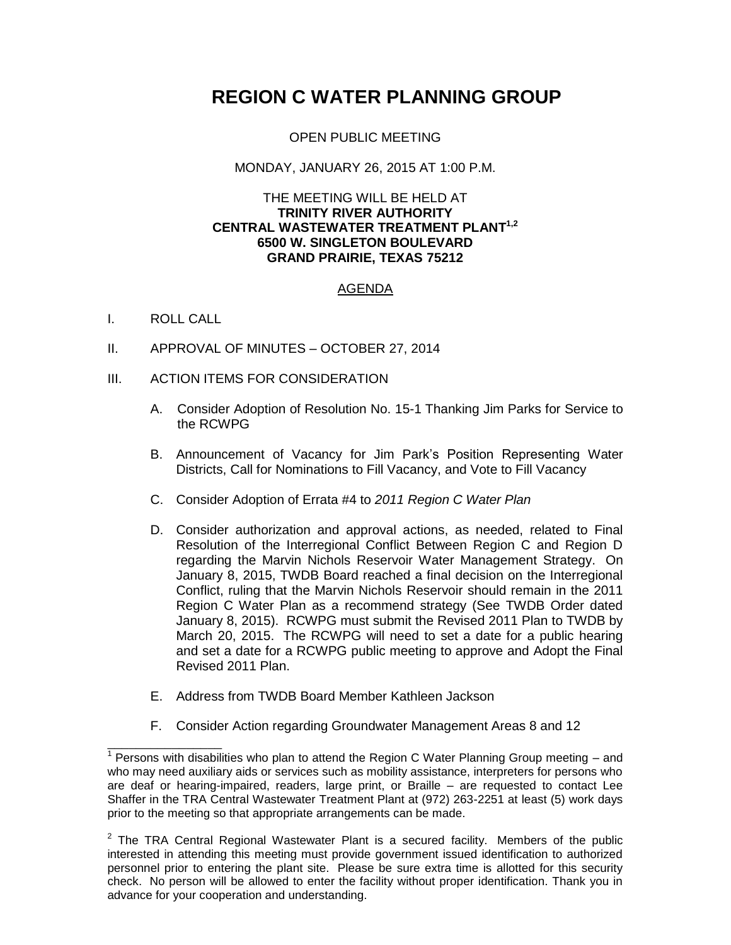# **REGION C WATER PLANNING GROUP**

# OPEN PUBLIC MEETING

### MONDAY, JANUARY 26, 2015 AT 1:00 P.M.

#### THE MEETING WILL BE HELD AT **TRINITY RIVER AUTHORITY CENTRAL WASTEWATER TREATMENT PLANT 1,2 6500 W. SINGLETON BOULEVARD GRAND PRAIRIE, TEXAS 75212**

# AGENDA

# I. ROLL CALL

- II. APPROVAL OF MINUTES OCTOBER 27, 2014
- III. ACTION ITEMS FOR CONSIDERATION
	- A. Consider Adoption of Resolution No. 15-1 Thanking Jim Parks for Service to the RCWPG
	- B. Announcement of Vacancy for Jim Park's Position Representing Water Districts, Call for Nominations to Fill Vacancy, and Vote to Fill Vacancy
	- C. Consider Adoption of Errata #4 to *2011 Region C Water Plan*
	- D. Consider authorization and approval actions, as needed, related to Final Resolution of the Interregional Conflict Between Region C and Region D regarding the Marvin Nichols Reservoir Water Management Strategy. On January 8, 2015, TWDB Board reached a final decision on the Interregional Conflict, ruling that the Marvin Nichols Reservoir should remain in the 2011 Region C Water Plan as a recommend strategy (See TWDB Order dated January 8, 2015). RCWPG must submit the Revised 2011 Plan to TWDB by March 20, 2015. The RCWPG will need to set a date for a public hearing and set a date for a RCWPG public meeting to approve and Adopt the Final Revised 2011 Plan.
	- E. Address from TWDB Board Member Kathleen Jackson
	- F. Consider Action regarding Groundwater Management Areas 8 and 12

\_\_\_\_\_\_\_\_\_\_\_\_\_\_\_\_ 1 Persons with disabilities who plan to attend the Region C Water Planning Group meeting – and who may need auxiliary aids or services such as mobility assistance, interpreters for persons who are deaf or hearing-impaired, readers, large print, or Braille – are requested to contact Lee Shaffer in the TRA Central Wastewater Treatment Plant at (972) 263-2251 at least (5) work days prior to the meeting so that appropriate arrangements can be made.

 $2$  The TRA Central Regional Wastewater Plant is a secured facility. Members of the public interested in attending this meeting must provide government issued identification to authorized personnel prior to entering the plant site. Please be sure extra time is allotted for this security check. No person will be allowed to enter the facility without proper identification. Thank you in advance for your cooperation and understanding.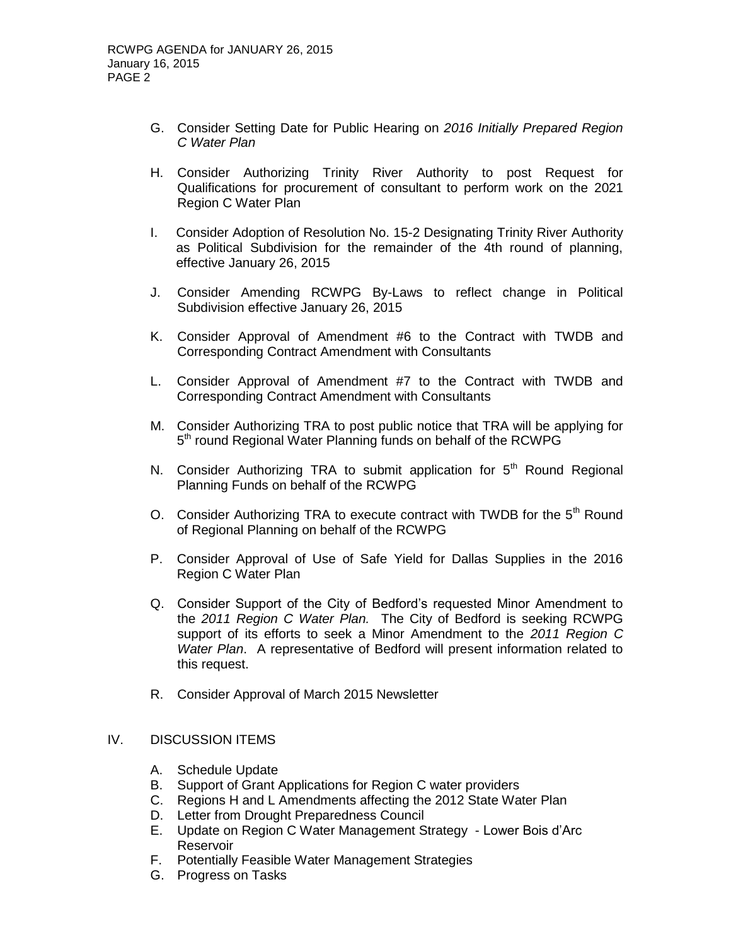- G. Consider Setting Date for Public Hearing on *2016 Initially Prepared Region C Water Plan*
- H. Consider Authorizing Trinity River Authority to post Request for Qualifications for procurement of consultant to perform work on the 2021 Region C Water Plan
- I. Consider Adoption of Resolution No. 15-2 Designating Trinity River Authority as Political Subdivision for the remainder of the 4th round of planning, effective January 26, 2015
- J. Consider Amending RCWPG By-Laws to reflect change in Political Subdivision effective January 26, 2015
- K. Consider Approval of Amendment #6 to the Contract with TWDB and Corresponding Contract Amendment with Consultants
- L. Consider Approval of Amendment #7 to the Contract with TWDB and Corresponding Contract Amendment with Consultants
- M. Consider Authorizing TRA to post public notice that TRA will be applying for 5<sup>th</sup> round Regional Water Planning funds on behalf of the RCWPG
- N. Consider Authorizing TRA to submit application for  $5<sup>th</sup>$  Round Regional Planning Funds on behalf of the RCWPG
- O. Consider Authorizing TRA to execute contract with TWDB for the  $5<sup>th</sup>$  Round of Regional Planning on behalf of the RCWPG
- P. Consider Approval of Use of Safe Yield for Dallas Supplies in the 2016 Region C Water Plan
- Q. Consider Support of the City of Bedford's requested Minor Amendment to the *2011 Region C Water Plan.* The City of Bedford is seeking RCWPG support of its efforts to seek a Minor Amendment to the *2011 Region C Water Plan*. A representative of Bedford will present information related to this request.
- R. Consider Approval of March 2015 Newsletter

#### IV. DISCUSSION ITEMS

- A. Schedule Update
- B. Support of Grant Applications for Region C water providers
- C. Regions H and L Amendments affecting the 2012 State Water Plan
- D. Letter from Drought Preparedness Council
- E. Update on Region C Water Management Strategy Lower Bois d'Arc Reservoir
- F. Potentially Feasible Water Management Strategies
- G. Progress on Tasks